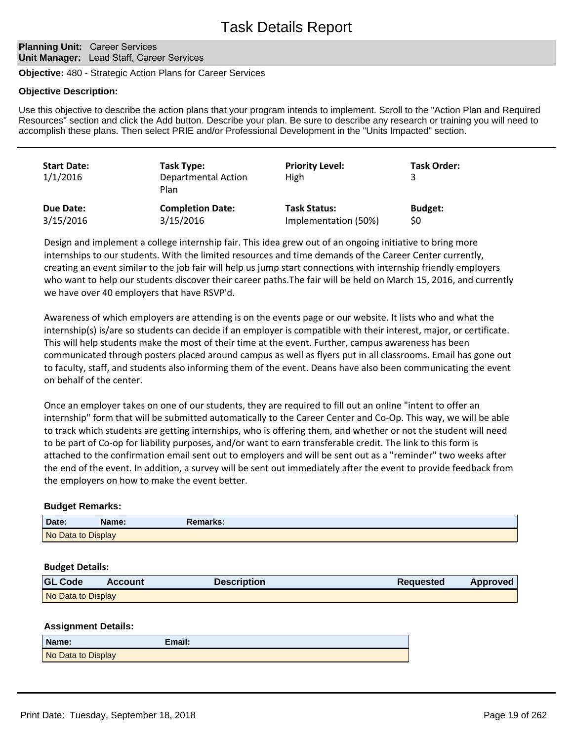## **Planning Unit: Career Services Unit Manager:** Lead Staff, Career Services

**Objective:** 480 - Strategic Action Plans for Career Services

## **Objective Description:**

Use this objective to describe the action plans that your program intends to implement. Scroll to the "Action Plan and Required Resources" section and click the Add button. Describe your plan. Be sure to describe any research or training you will need to accomplish these plans. Then select PRIE and/or Professional Development in the "Units Impacted" section.

| <b>Start Date:</b><br>1/1/2016 | Task Type:<br><b>Departmental Action</b><br>Plan | <b>Priority Level:</b><br>High | <b>Task Order:</b> |
|--------------------------------|--------------------------------------------------|--------------------------------|--------------------|
| Due Date:                      | <b>Completion Date:</b>                          | <b>Task Status:</b>            | <b>Budget:</b>     |
| 3/15/2016                      | 3/15/2016                                        | Implementation (50%)           | \$0                |

Design and implement a college internship fair. This idea grew out of an ongoing initiative to bring more internships to our students. With the limited resources and time demands of the Career Center currently, creating an event similar to the job fair will help us jump start connections with internship friendly employers who want to help our students discover their career paths.The fair will be held on March 15, 2016, and currently we have over 40 employers that have RSVP'd.

Awareness of which employers are attending is on the events page or our website. It lists who and what the internship(s) is/are so students can decide if an employer is compatible with their interest, major, or certificate. This will help students make the most of their time at the event. Further, campus awareness has been communicated through posters placed around campus as well as flyers put in all classrooms. Email has gone out to faculty, staff, and students also informing them of the event. Deans have also been communicating the event on behalf of the center.

Once an employer takes on one of our students, they are required to fill out an online "intent to offer an internship" form that will be submitted automatically to the Career Center and Co-Op. This way, we will be able to track which students are getting internships, who is offering them, and whether or not the student will need to be part of Co-op for liability purposes, and/or want to earn transferable credit. The link to this form is attached to the confirmation email sent out to employers and will be sent out as a "reminder" two weeks after the end of the event. In addition, a survey will be sent out immediately after the event to provide feedback from the employers on how to make the event better.

# **Budget Remarks:**

| Date:              | Name: | Remarks: |  |
|--------------------|-------|----------|--|
| No Data to Display |       |          |  |

### **Budget Details:**

| <b>GL Code</b>     | <b>Account</b> | <b>Description</b> | <b>Requested</b> | Approved |
|--------------------|----------------|--------------------|------------------|----------|
| No Data to Display |                |                    |                  |          |

# **Assignment Details:**

| Name:              | Email: |
|--------------------|--------|
| No Data to Display |        |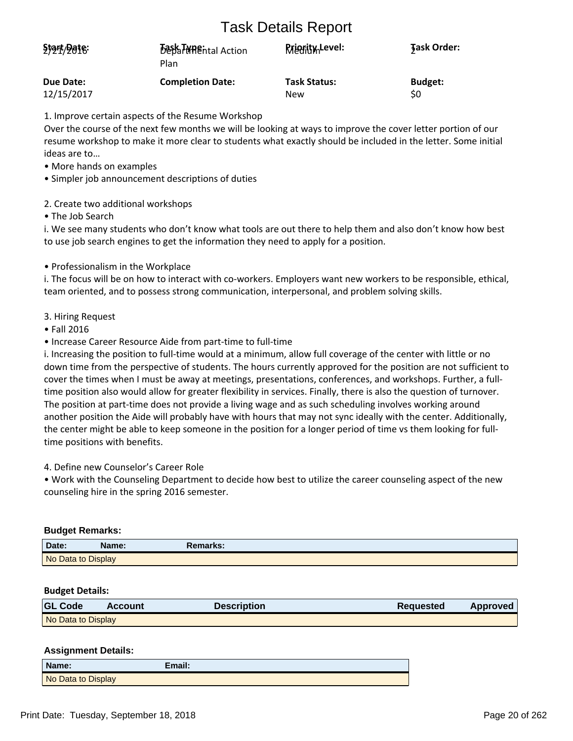# Task Details Report

| Start/Date: | <b>Best THREntal Action</b><br>Plan | <b>Rriggity</b> Level: | <b>Task Order:</b> |
|-------------|-------------------------------------|------------------------|--------------------|
| Due Date:   | <b>Completion Date:</b>             | <b>Task Status:</b>    | <b>Budget:</b>     |
| 12/15/2017  |                                     | New                    | \$0                |

1. Improve certain aspects of the Resume Workshop

Over the course of the next few months we will be looking at ways to improve the cover letter portion of our resume workshop to make it more clear to students what exactly should be included in the letter. Some initial ideas are to...

- More hands on examples
- Simpler job announcement descriptions of duties
- 2. Create two additional workshops

• The Job Search

i. We see many students who don't know what tools are out there to help them and also don't know how best to use job search engines to get the information they need to apply for a position.

• Professionalism in the Workplace

i. The focus will be on how to interact with co-workers. Employers want new workers to be responsible, ethical, team oriented, and to possess strong communication, interpersonal, and problem solving skills.

- 3. Hiring Request
- Fall 2016
- Increase Career Resource Aide from part-time to full-time

i. Increasing the position to full-time would at a minimum, allow full coverage of the center with little or no down time from the perspective of students. The hours currently approved for the position are not sufficient to cover the times when I must be away at meetings, presentations, conferences, and workshops. Further, a fulltime position also would allow for greater flexibility in services. Finally, there is also the question of turnover. The position at part-time does not provide a living wage and as such scheduling involves working around another position the Aide will probably have with hours that may not sync ideally with the center. Additionally, the center might be able to keep someone in the position for a longer period of time vs them looking for fulltime positions with benefits.

4. Define new Counselor's Career Role

• Work with the Counseling Department to decide how best to utilize the career counseling aspect of the new counseling hire in the spring 2016 semester.

# **Budget Remarks:**

| Date:              | Name: | Remarks: |
|--------------------|-------|----------|
| No Data to Display |       |          |

### **Budget Details:**

| <b>GL Code</b>     | Account | <b>Description</b> | <b>Requested</b> | <b>Approved</b> |
|--------------------|---------|--------------------|------------------|-----------------|
| No Data to Display |         |                    |                  |                 |

### **Assignment Details:**

| Name:              | Email: |
|--------------------|--------|
| No Data to Display |        |